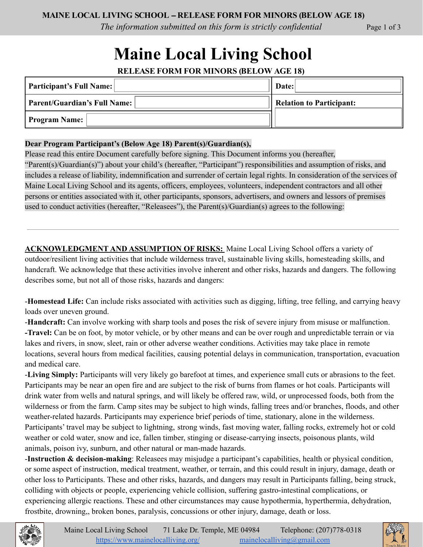*The information submitted on this form is strictly confidential* Page 1 of 3

# **Maine Local Living School**

**RELEASE FORM FOR MINORS (BELOW AGE 18)**

| Participant's Full Name:            | Date:                    |
|-------------------------------------|--------------------------|
| <b>Parent/Guardian's Full Name:</b> | Relation to Participant: |
| <b>Program Name:</b>                |                          |

#### **Dear Program Participant's (Below Age 18) Parent(s)/Guardian(s),**

Please read this entire Document carefully before signing. This Document informs you (hereafter, "Parent(s)/Guardian(s)") about your child's (hereafter, "Participant") responsibilities and assumption of risks, and includes a release of liability, indemnification and surrender of certain legal rights. In consideration of the services of Maine Local Living School and its agents, officers, employees, volunteers, independent contractors and all other persons or entities associated with it, other participants, sponsors, advertisers, and owners and lessors of premises used to conduct activities (hereafter, "Releasees"), the Parent(s)/Guardian(s) agrees to the following:

**ACKNOWLEDGMENT AND ASSUMPTION OF RISKS:** Maine Local Living School offers a variety of outdoor/resilient living activities that include wilderness travel, sustainable living skills, homesteading skills, and handcraft. We acknowledge that these activities involve inherent and other risks, hazards and dangers. The following describes some, but not all of those risks, hazards and dangers:

-**Homestead Life:** Can include risks associated with activities such as digging, lifting, tree felling, and carrying heavy loads over uneven ground.

-**Handcraft:** Can involve working with sharp tools and poses the risk of severe injury from misuse or malfunction. **-Travel:** Can be on foot, by motor vehicle, or by other means and can be over rough and unpredictable terrain or via lakes and rivers, in snow, sleet, rain or other adverse weather conditions. Activities may take place in remote locations, several hours from medical facilities, causing potential delays in communication, transportation, evacuation and medical care.

-**Living Simply:** Participants will very likely go barefoot at times, and experience small cuts or abrasions to the feet. Participants may be near an open fire and are subject to the risk of burns from flames or hot coals. Participants will drink water from wells and natural springs, and will likely be offered raw, wild, or unprocessed foods, both from the wilderness or from the farm. Camp sites may be subject to high winds, falling trees and/or branches, floods, and other weather-related hazards. Participants may experience brief periods of time, stationary, alone in the wilderness. Participants' travel may be subject to lightning, strong winds, fast moving water, falling rocks, extremely hot or cold weather or cold water, snow and ice, fallen timber, stinging or disease-carrying insects, poisonous plants, wild animals, poison ivy, sunburn, and other natural or man-made hazards.

-**Instruction & decision-making**: Releasees may misjudge a participant's capabilities, health or physical condition, or some aspect of instruction, medical treatment, weather, or terrain, and this could result in injury, damage, death or other loss to Participants. These and other risks, hazards, and dangers may result in Participants falling, being struck, colliding with objects or people, experiencing vehicle collision, suffering gastro-intestinal complications, or experiencing allergic reactions. These and other circumstances may cause hypothermia, hyperthermia, dehydration, frostbite, drowning,, broken bones, paralysis, concussions or other injury, damage, death or loss.

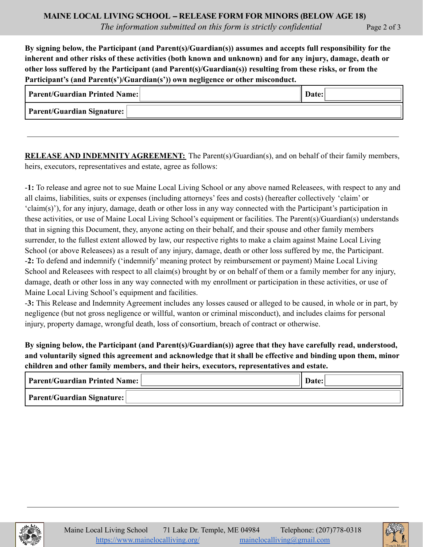**By signing below, the Participant (and Parent(s)/Guardian(s)) assumes and accepts full responsibility for the** inherent and other risks of these activities (both known and unknown) and for any injury, damage, death or **other loss suffered by the Participant (and Parent(s)/Guardian(s)) resulting from these risks, or from the Participant's (and Parent(s')/Guardian(s')) own negligence or other misconduct.**

| <b>Parent/Guardian Printed Name:</b> | Date: |
|--------------------------------------|-------|
| <b>Parent/Guardian Signature:</b>    |       |

**RELEASE AND INDEMNITY AGREEMENT:** The Parent(s)/Guardian(s), and on behalf of their family members, heirs, executors, representatives and estate, agree as follows:

-**1:** To release and agree not to sue Maine Local Living School or any above named Releasees, with respect to any and all claims, liabilities, suits or expenses (including attorneys' fees and costs) (hereafter collectively 'claim' or 'claim(s)'), for any injury, damage, death or other loss in any way connected with the Participant's participation in these activities, or use of Maine Local Living School's equipment or facilities. The Parent(s)/Guardian(s) understands that in signing this Document, they, anyone acting on their behalf, and their spouse and other family members surrender, to the fullest extent allowed by law, our respective rights to make a claim against Maine Local Living School (or above Releasees) as a result of any injury, damage, death or other loss suffered by me, the Participant. -**2:** To defend and indemnify ('indemnify' meaning protect by reimbursement or payment) Maine Local Living School and Releasees with respect to all claim(s) brought by or on behalf of them or a family member for any injury, damage, death or other loss in any way connected with my enrollment or participation in these activities, or use of Maine Local Living School's equipment and facilities.

-**3:** This Release and Indemnity Agreement includes any losses caused or alleged to be caused, in whole or in part, by negligence (but not gross negligence or willful, wanton or criminal misconduct), and includes claims for personal injury, property damage, wrongful death, loss of consortium, breach of contract or otherwise.

**By signing below, the Participant (and Parent(s)/Guardian(s)) agree that they have carefully read, understood,** and voluntarily signed this agreement and acknowledge that it shall be effective and binding upon them, minor **children and other family members, and their heirs, executors, representatives and estate.**

| Parent/Guardian Printed Name: | <b>Date:</b> |
|-------------------------------|--------------|
| Parent/Guardian Signature:    |              |